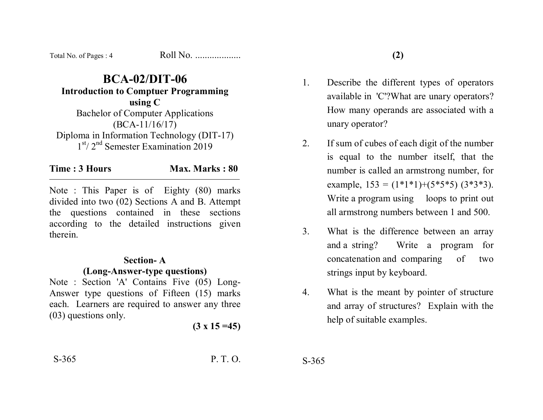Total No. of Pages : 4 Roll No. ...................

**BCA-02/DIT-06 Introduction to Comptuer Programming using C**  Bachelor of Computer Applications (BCA-11/16/17) Diploma in Information Technology (DIT-17)  $1<sup>st</sup> / 2<sup>nd</sup>$  Semester Examination 2019

**Time : 3 Hours Max. Marks : 80** 

Note : This Paper is of Eighty (80) marks divided into two (02) Sections A and B. Attempt the questions contained in these sections according to the detailed instructions given therein.

#### **Section- A**

### **(Long-Answer-type questions)**

Note : Section 'A' Contains Five (05) Long-Answer type questions of Fifteen (15) marks each. Learners are required to answer any three (03) questions only.

**(3 x 15 =45)** 

S-365 P. T. O.

- 1. Describe the different types of operators available in 'C'?What are unary operators? How many operands are associated with a unary operator?
- 2. If sum of cubes of each digit of the number is equal to the number itself, that the number is called an armstrong number, for example,  $153 = (1*1*1)+(5*5*5) (3*3*3)$ . Write a program using loops to print out all armstrong numbers between 1 and 500.
- 3. What is the difference between an array and a string? Write a program for concatenation and comparing of two strings input by keyboard.
- 4. What is the meant by pointer of structure and array of structures? Explain with the help of suitable examples.

S-365